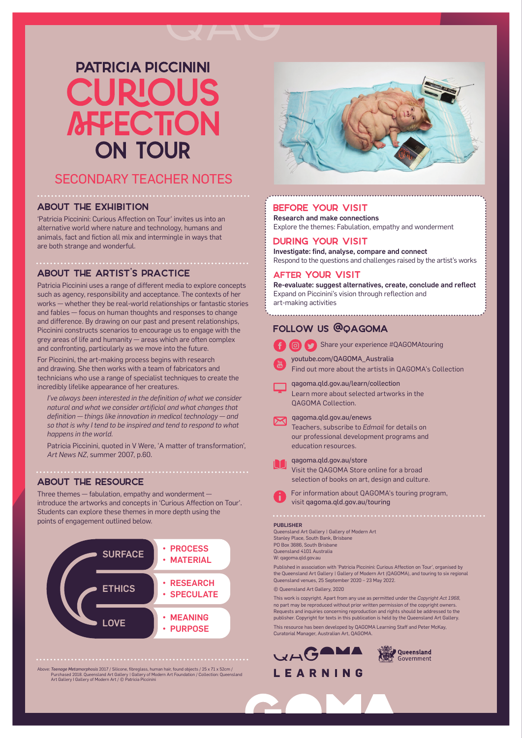# **PATRICIA PICCININI CHIPIO AFFECTION ON TOUR**

# SECONDARY TEACHER NOTES

#### ABOUT THE EXHIBITION

'Patricia Piccinini: Curious Affection on Tour' invites us into an alternative world where nature and technology, humans and animals, fact and fiction all mix and intermingle in ways that are both strange and wonderful.

#### ABOUT THE ARTIST'S PRACTICE

Patricia Piccinini uses a range of different media to explore concepts such as agency, responsibility and acceptance. The contexts of her works — whether they be real-world relationships or fantastic stories and fables — focus on human thoughts and responses to change and difference. By drawing on our past and present relationships, Piccinini constructs scenarios to encourage us to engage with the grey areas of life and humanity — areas which are often complex and confronting, particularly as we move into the future.

For Piccinini, the art-making process begins with research and drawing. She then works with a team of fabricators and technicians who use a range of specialist techniques to create the incredibly lifelike appearance of her creatures.

*I've always been interested in the definition of what we consider natural and what we consider artificial and what changes that definition — things like innovation in medical technology — and so that is why I tend to be inspired and tend to respond to what happens in the world.*

Patricia Piccinini, quoted in V Were, 'A matter of transformation', *Art News NZ*, summer 2007, p.60.

### ABOUT THE RESOURCE

Three themes — fabulation, empathy and wonderment introduce the artworks and concepts in 'Curious Affection on Tour'. Students can explore these themes in more depth using the points of engagement outlined below. PUBLISHER



Above: Teenage Metamorphosis 2017 / Silicone, fibreglass, human hair, found objects / 25 x 71 x 52cm /<br>Purchased 2018. Queensland Art Goallery of Modern Art Foundation / Collection: Queensland<br>Art Gallery I Gallery of Mode



#### BEFORE YOUR VISIT

Research and make connections Explore the themes: Fabulation, empathy and wonderment

# DURING YOUR VISIT

Investigate: find, analyse, compare and connect Respond to the questions and challenges raised by the artist's works

#### AFTER YOUR VISIT

Re-evaluate: suggest alternatives, create, conclude and reflect Expand on Piccinini's vision through reflection and art-making activities

## Follow us @QAGOMA

|  | <b>B</b> Share your experience #QAGOMAtouring |  |
|--|-----------------------------------------------|--|
|  |                                               |  |

youtube.com/QAGOMA\_Australia

- Find out more about the artists in QAGOMA's Collection
- qagoma.qld.gov.au/learn/collection Learn more about selected artworks in the QAGOMA Collection.

# qagoma.qld.gov.au/enews

 Teachers, subscribe to *Edmail* for details on our professional development programs and education resources.



 qagoma.qld.gov.au/store Visit the QAGOMA Store online for a broad selection of books on art, design and culture.

 For information about QAGOMA's touring program, visit qagoma.qld.gov.au/touring

Queensland Art Gallery | Gallery of Modern Art Stanley Place, South Bank, Brisbane PO Box 3686, South Brisbane Queensland 4101 Australia W: qagoma.qld.gov.au

Published in association with 'Patricia Piccinini: Curious Affection on Tour', organised by the Queensland Art Gallery | Gallery of Modern Art (QAGOMA), and touring to six regional Queensland venues, 25 September 2020 – 23 May 2022.

© Queensland Art Gallery, 2020

This work is copyright. Apart from any use as permitted under the *Copyright Act 1968*, no part may be reproduced without prior written permission of the copyright owners. Requests and inquiries concerning reproduction and rights should be addressed to the publisher. Copyright for texts in this publication is held by the Queensland Art Gallery. This resource has been developed by QAGOMA Learning Staff and Peter McKay,



Curatorial Manager, Australian Art, QAGOMA.



# LEARNING